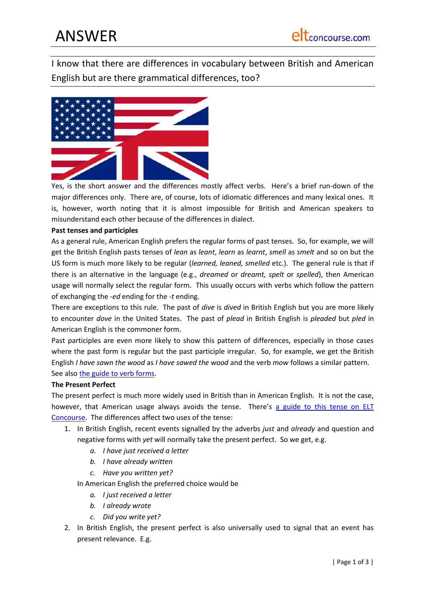I know that there are differences in vocabulary between British and American English but are there grammatical differences, too?



Yes, is the short answer and the differences mostly affect verbs. Here's a brief run-down of the major differences only. There are, of course, lots of idiomatic differences and many lexical ones. It is, however, worth noting that it is almost impossible for British and American speakers to misunderstand each other because of the differences in dialect.

# **Past tenses and participles**

As a general rule, American English prefers the regular forms of past tenses. So, for example, we will get the British English pasts tenses of *lean* as *leant*, *learn* as *learnt*, *smell* as *smelt* and so on but the US form is much more likely to be regular (*learned, leaned, smelled* etc.). The general rule is that if there is an alternative in the language (e.g., *dreamed* or *dreamt, spelt* or *spelled*), then American usage will normally select the regular form. This usually occurs with verbs which follow the pattern of exchanging the *-ed* ending for the *-t* ending.

There are exceptions to this rule. The past of *dive* is *dived* in British English but you are more likely to encounter *dove* in the United States. The past of *plead* in British English is *pleaded* but *pled* in American English is the commoner form.

Past participles are even more likely to show this pattern of differences, especially in those cases where the past form is regular but the past participle irregular. So, for example, we get the British English *I have sawn the wood* as *I have sawed the wood* and the verb *mow* follows a similar pattern. See also the guide to verb forms.

# **The Present Perfect**

The present perfect is much more widely used in British than in American English. It is not the case, however, that American usage always avoids the tense. There's a guide to this tense on ELT Concourse. The differences affect two uses of the tense:

- 1. In British English, recent events signalled by the adverbs *just* and *already* and question and negative forms with *yet* will normally take the present perfect. So we get, e.g.
	- *a. I have just received a letter*
	- *b. I have already written*
	- *c. Have you written yet?*

In American English the preferred choice would be

- *a. I just received a letter*
- *b. I already wrote*
- *c. Did you write yet?*
- 2. In British English, the present perfect is also universally used to signal that an event has present relevance. E.g.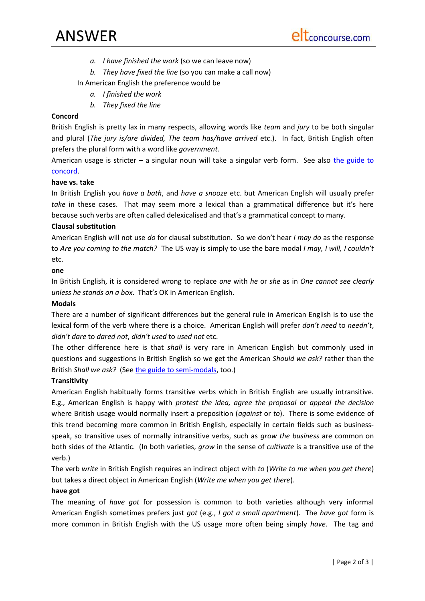ANSWER

- *a. I have finished the work* (so we can leave now)
- *b. They have fixed the line* (so you can make a call now)

In American English the preference would be

- *a. I finished the work*
- *b. They fixed the line*

## **Concord**

British English is pretty lax in many respects, allowing words like *team* and *jury* to be both singular and plural (*The jury is/are divided, The team has/have arrived* etc.). In fact, British English often prefers the plural form with a word like *government*.

American usage is stricter – a singular noun will take a singular verb form. See also the guide to concord.

### **have vs. take**

In British English you *have a bath*, and *have a snooze* etc. but American English will usually prefer *take* in these cases. That may seem more a lexical than a grammatical difference but it's here because such verbs are often called delexicalised and that's a grammatical concept to many.

## **Clausal substitution**

American English will not use *do* for clausal substitution. So we don't hear *I may do* as the response to *Are you coming to the match?* The US way is simply to use the bare modal *I may, I will, I couldn't* etc.

### **one**

In British English, it is considered wrong to replace *one* with *he* or *she* as in *One cannot see clearly unless he stands on a box*. That's OK in American English.

### **Modals**

There are a number of significant differences but the general rule in American English is to use the lexical form of the verb where there is a choice. American English will prefer *don't need* to *needn't*, *didn't dare* to *dared not*, *didn't used* to *used not* etc.

The other difference here is that *shall* is very rare in American English but commonly used in questions and suggestions in British English so we get the American *Should we ask?* rather than the British *Shall we ask?* (See the guide to semi-modals, too.)

# **Transitivity**

American English habitually forms transitive verbs which in British English are usually intransitive. E.g., American English is happy with *protest the idea, agree the proposal* or *appeal the decision* where British usage would normally insert a preposition (*against* or *to*). There is some evidence of this trend becoming more common in British English, especially in certain fields such as businessspeak, so transitive uses of normally intransitive verbs, such as *grow the business* are common on both sides of the Atlantic. (In both varieties, *grow* in the sense of *cultivate* is a transitive use of the verb.)

The verb *write* in British English requires an indirect object with *to* (*Write to me when you get there*) but takes a direct object in American English (*Write me when you get there*).

#### **have got**

The meaning of *have got* for possession is common to both varieties although very informal American English sometimes prefers just *got* (e.g., *I got a small apartment*). The *have got* form is more common in British English with the US usage more often being simply *have*. The tag and